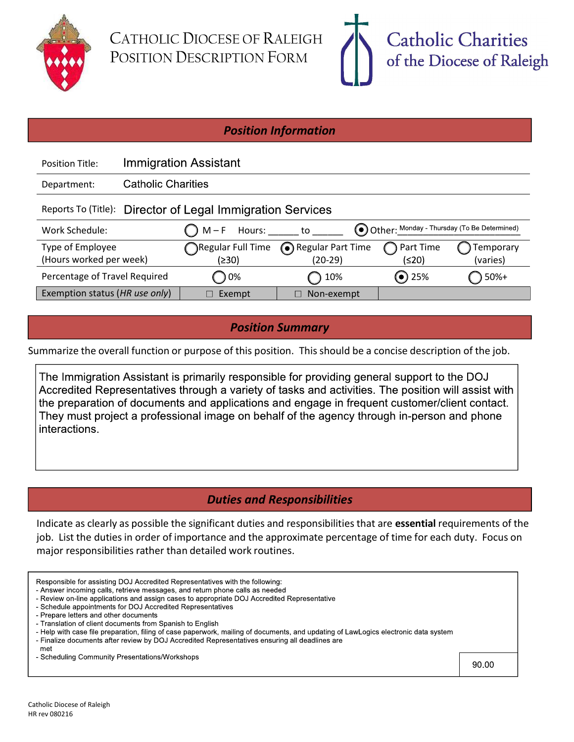

CATHOLIC DIOCESE OF RALEIGH POSITION DESCRIPTION FORM



#### Position Information

| <b>Position Title:</b>                                     |                           | <b>Immigration Assistant</b> |                     |             |                                             |
|------------------------------------------------------------|---------------------------|------------------------------|---------------------|-------------|---------------------------------------------|
| Department:                                                | <b>Catholic Charities</b> |                              |                     |             |                                             |
| Reports To (Title): Director of Legal Immigration Services |                           |                              |                     |             |                                             |
| Work Schedule:                                             |                           | ( ) M – F<br>Hours:          | to                  |             | Other: Monday - Thursday (To Be Determined) |
| Type of Employee                                           |                           | Regular Full Time            | Regular Part Time   | Part Time   | Temporary                                   |
| (Hours worked per week)                                    |                           | (≥30)                        | $(20-29)$           | (≤20)       | (varies)                                    |
| Percentage of Travel Required                              |                           | $\bigcirc$ 0%                | 10%<br>$\mathbf{r}$ | $\odot$ 25% | 50%+                                        |
| Exemption status (HR use only)                             |                           | Exempt                       | Non-exempt          |             |                                             |

Position Summary

Summarize the overall function or purpose of this position. This should be a concise description of the job.

The Immigration Assistant is primarily responsible for providing general support to the DOJ Accredited Representatives through a variety of tasks and activities. The position will assist with the preparation of documents and applications and engage in frequent customer/client contact. They must project a professional image on behalf of the agency through in-person and phone interactions.

# Duties and Responsibilities

Indicate as clearly as possible the significant duties and responsibilities that are essential requirements of the job. List the duties in order of importance and the approximate percentage of time for each duty. Focus on major responsibilities rather than detailed work routines.

| Responsible for assisting DOJ Accredited Representatives with the following:<br>- Answer incoming calls, retrieve messages, and return phone calls as needed<br>- Review on-line applications and assign cases to appropriate DOJ Accredited Representative<br>- Schedule appointments for DOJ Accredited Representatives<br>- Prepare letters and other documents<br>- Translation of client documents from Spanish to English<br>- Help with case file preparation, filing of case paperwork, mailing of documents, and updating of LawLogics electronic data system<br>- Finalize documents after review by DOJ Accredited Representatives ensuring all deadlines are<br>met |       |
|---------------------------------------------------------------------------------------------------------------------------------------------------------------------------------------------------------------------------------------------------------------------------------------------------------------------------------------------------------------------------------------------------------------------------------------------------------------------------------------------------------------------------------------------------------------------------------------------------------------------------------------------------------------------------------|-------|
| - Scheduling Community Presentations/Workshops                                                                                                                                                                                                                                                                                                                                                                                                                                                                                                                                                                                                                                  | 90.00 |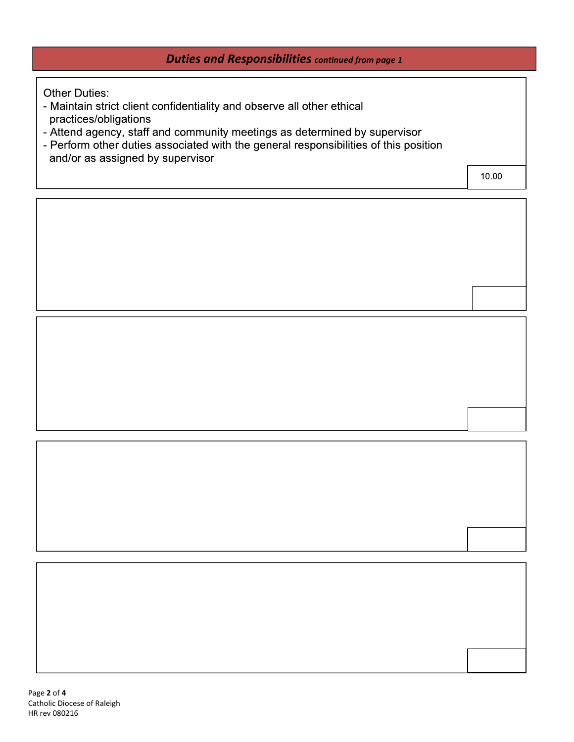# Duties and Responsibilities continued from page 1

**Other Duties:** 

- Maintain strict client confidentiality and observe all other ethical practices/obligations
- 
- Attend agency, staff and community meetings as determined by supervisor<br>- Perform other duties associated with the general responsibilities of this position and/or as assigned by supervisor

10.00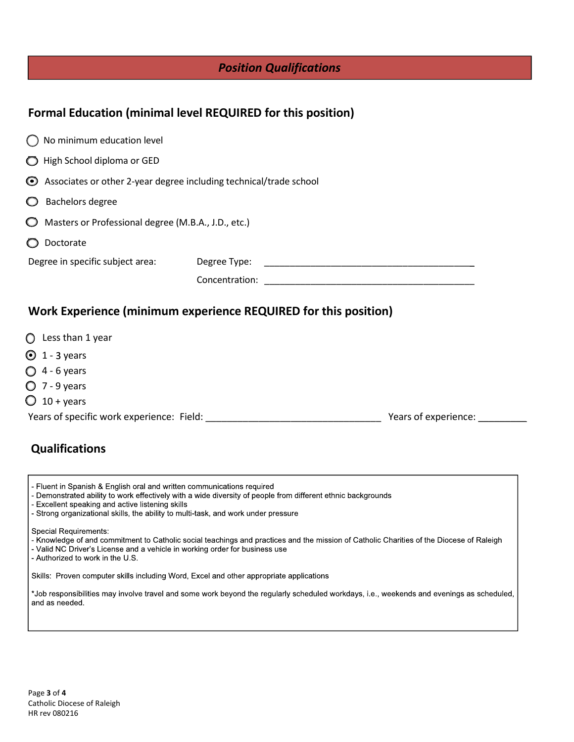|  |  |  | <b>Position Qualifications</b> |
|--|--|--|--------------------------------|
|--|--|--|--------------------------------|

### Formal Education (minimal level REQUIRED for this position)

| No minimum education level                                                 |                                                                 |
|----------------------------------------------------------------------------|-----------------------------------------------------------------|
| High School diploma or GED<br>$\bigcirc$                                   |                                                                 |
| $\odot$ Associates or other 2-year degree including technical/trade school |                                                                 |
| Bachelors degree                                                           |                                                                 |
| Masters or Professional degree (M.B.A., J.D., etc.)<br>$\circ$             |                                                                 |
| Doctorate                                                                  |                                                                 |
| Degree in specific subject area:                                           | Degree Type:                                                    |
|                                                                            | Concentration:                                                  |
|                                                                            | Work Experience (minimum experience REQUIRED for this position) |

- $\bigcirc$  Less than 1 year
- $\odot$  1 3 years
- $O$  4 6 years
- $O$  7 9 years
- $\bigcirc$  10 + years

Years of specific work experience: Field: \_\_\_\_\_\_\_\_\_\_\_\_\_\_\_\_\_\_\_\_\_\_\_\_\_\_\_\_\_\_\_\_\_ Years of experience: \_\_\_\_\_\_\_\_\_

#### Qualifications

- Fluent in Spanish & English oral and written communications required
- Demonstrated ability to work effectively with a wide diversity of people from different ethnic backgrounds
- Excellent speaking and active listening skills
- Strong organizational skills, the ability to multi-task, and work under pressure

**Special Requirements:** 

- Knowledge of and commitment to Catholic social teachings and practices and the mission of Catholic Charities of the Diocese of Raleigh
- Valid NC Driver's License and a vehicle in working order for business use
- Authorized to work in the U.S.

Skills: Proven computer skills including Word, Excel and other appropriate applications

\*Job responsibilities may involve travel and some work beyond the regularly scheduled workdays, i.e., weekends and evenings as scheduled, and as needed.